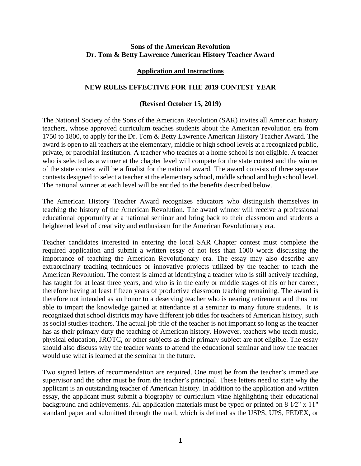#### **Sons of the American Revolution Dr. Tom & Betty Lawrence American History Teacher Award**

#### **Application and Instructions**

### **NEW RULES EFFECTIVE FOR THE 2019 CONTEST YEAR**

#### **(Revised October 15, 2019)**

The National Society of the Sons of the American Revolution (SAR) invites all American history teachers, whose approved curriculum teaches students about the American revolution era from 1750 to 1800, to apply for the Dr. Tom & Betty Lawrence American History Teacher Award. The award is open to all teachers at the elementary, middle or high school levels at a recognized public, private, or parochial institution. A teacher who teaches at a home school is not eligible. A teacher who is selected as a winner at the chapter level will compete for the state contest and the winner of the state contest will be a finalist for the national award. The award consists of three separate contests designed to select a teacher at the elementary school, middle school and high school level. The national winner at each level will be entitled to the benefits described below.

The American History Teacher Award recognizes educators who distinguish themselves in teaching the history of the American Revolution. The award winner will receive a professional educational opportunity at a national seminar and bring back to their classroom and students a heightened level of creativity and enthusiasm for the American Revolutionary era.

Teacher candidates interested in entering the local SAR Chapter contest must complete the required application and submit a written essay of not less than 1000 words discussing the importance of teaching the American Revolutionary era. The essay may also describe any extraordinary teaching techniques or innovative projects utilized by the teacher to teach the American Revolution. The contest is aimed at identifying a teacher who is still actively teaching, has taught for at least three years, and who is in the early or middle stages of his or her career, therefore having at least fifteen years of productive classroom teaching remaining. The award is therefore not intended as an honor to a deserving teacher who is nearing retirement and thus not able to impart the knowledge gained at attendance at a seminar to many future students. It is recognized that school districts may have different job titles for teachers of American history, such as social studies teachers. The actual job title of the teacher is not important so long as the teacher has as their primary duty the teaching of American history. However, teachers who teach music, physical education, JROTC, or other subjects as their primary subject are not eligible. The essay should also discuss why the teacher wants to attend the educational seminar and how the teacher would use what is learned at the seminar in the future.

Two signed letters of recommendation are required. One must be from the teacher's immediate supervisor and the other must be from the teacher's principal. These letters need to state why the applicant is an outstanding teacher of American history. In addition to the application and written essay, the applicant must submit a biography or curriculum vitae highlighting their educational background and achievements. All application materials must be typed or printed on 8 1⁄2" x 11" standard paper and submitted through the mail, which is defined as the USPS, UPS, FEDEX, or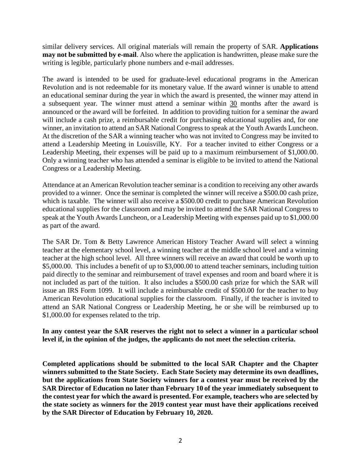similar delivery services. All original materials will remain the property of SAR. **Applications may not be submitted by e-mail**. Also where the application is handwritten, please make sure the writing is legible, particularly phone numbers and e-mail addresses.

The award is intended to be used for graduate-level educational programs in the American Revolution and is not redeemable for its monetary value. If the award winner is unable to attend an educational seminar during the year in which the award is presented, the winner may attend in a subsequent year. The winner must attend a seminar within 30 months after the award is announced or the award will be forfeited. In addition to providing tuition for a seminar the award will include a cash prize, a reimbursable credit for purchasing educational supplies and, for one winner, an invitation to attend an SAR National Congress to speak at the Youth Awards Luncheon. At the discretion of the SAR a winning teacher who was not invited to Congress may be invited to attend a Leadership Meeting in Louisville, KY. For a teacher invited to either Congress or a Leadership Meeting, their expenses will be paid up to a maximum reimbursement of \$1,000.00. Only a winning teacher who has attended a seminar is eligible to be invited to attend the National Congress or a Leadership Meeting.

Attendance at an American Revolution teacher seminar is a condition to receiving any other awards provided to a winner. Once the seminar is completed the winner will receive a \$500.00 cash prize, which is taxable. The winner will also receive a \$500.00 credit to purchase American Revolution educational supplies for the classroom and may be invited to attend the SAR National Congress to speak at the Youth Awards Luncheon, or a Leadership Meeting with expenses paid up to \$1,000.00 as part of the award.

The SAR Dr. Tom & Betty Lawrence American History Teacher Award will select a winning teacher at the elementary school level, a winning teacher at the middle school level and a winning teacher at the high school level. All three winners will receive an award that could be worth up to \$5,000.00. This includes a benefit of up to \$3,000.00 to attend teacher seminars, including tuition paid directly to the seminar and reimbursement of travel expenses and room and board where it is not included as part of the tuition. It also includes a \$500.00 cash prize for which the SAR will issue an IRS Form 1099. It will include a reimbursable credit of \$500.00 for the teacher to buy American Revolution educational supplies for the classroom. Finally, if the teacher is invited to attend an SAR National Congress or Leadership Meeting, he or she will be reimbursed up to \$1,000.00 for expenses related to the trip.

## **In any contest year the SAR reserves the right not to select a winner in a particular school level if, in the opinion of the judges, the applicants do not meet the selection criteria.**

**Completed applications should be submitted to the local SAR Chapter and the Chapter winners submitted to the State Society. Each State Society may determine its own deadlines, but the applications from State Society winners for a contest year must be received by the SAR Director of Education no later than February 10 of the year immediately subsequent to the contest year for which the award is presented. For example, teachers who are selected by the state society as winners for the 2019 contest year must have their applications received by the SAR Director of Education by February 10, 2020.**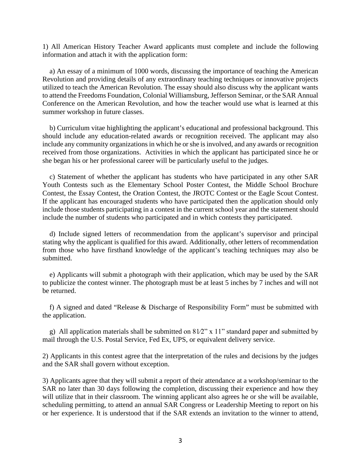1) All American History Teacher Award applicants must complete and include the following information and attach it with the application form:

 a) An essay of a minimum of 1000 words, discussing the importance of teaching the American Revolution and providing details of any extraordinary teaching techniques or innovative projects utilized to teach the American Revolution. The essay should also discuss why the applicant wants to attend the Freedoms Foundation, Colonial Williamsburg, Jefferson Seminar, or the SAR Annual Conference on the American Revolution, and how the teacher would use what is learned at this summer workshop in future classes.

 b) Curriculum vitae highlighting the applicant's educational and professional background. This should include any education-related awards or recognition received. The applicant may also include any community organizations in which he or she is involved, and any awards or recognition received from those organizations. Activities in which the applicant has participated since he or she began his or her professional career will be particularly useful to the judges.

 c) Statement of whether the applicant has students who have participated in any other SAR Youth Contests such as the Elementary School Poster Contest, the Middle School Brochure Contest, the Essay Contest, the Oration Contest, the JROTC Contest or the Eagle Scout Contest. If the applicant has encouraged students who have participated then the application should only include those students participating in a contest in the current school year and the statement should include the number of students who participated and in which contests they participated.

 d) Include signed letters of recommendation from the applicant's supervisor and principal stating why the applicant is qualified for this award. Additionally, other letters of recommendation from those who have firsthand knowledge of the applicant's teaching techniques may also be submitted.

 e) Applicants will submit a photograph with their application, which may be used by the SAR to publicize the contest winner. The photograph must be at least 5 inches by 7 inches and will not be returned.

 f) A signed and dated "Release & Discharge of Responsibility Form" must be submitted with the application.

g) All application materials shall be submitted on  $81/2$ " x 11" standard paper and submitted by mail through the U.S. Postal Service, Fed Ex, UPS, or equivalent delivery service.

2) Applicants in this contest agree that the interpretation of the rules and decisions by the judges and the SAR shall govern without exception.

3) Applicants agree that they will submit a report of their attendance at a workshop/seminar to the SAR no later than 30 days following the completion, discussing their experience and how they will utilize that in their classroom. The winning applicant also agrees he or she will be available, scheduling permitting, to attend an annual SAR Congress or Leadership Meeting to report on his or her experience. It is understood that if the SAR extends an invitation to the winner to attend,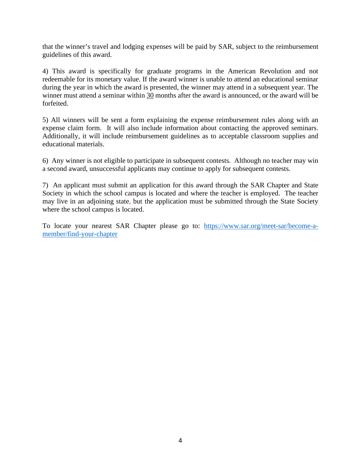that the winner's travel and lodging expenses will be paid by SAR, subject to the reimbursement guidelines of this award.

4) This award is specifically for graduate programs in the American Revolution and not redeemable for its monetary value. If the award winner is unable to attend an educational seminar during the year in which the award is presented, the winner may attend in a subsequent year. The winner must attend a seminar within 30 months after the award is announced, or the award will be forfeited.

5) All winners will be sent a form explaining the expense reimbursement rules along with an expense claim form. It will also include information about contacting the approved seminars. Additionally, it will include reimbursement guidelines as to acceptable classroom supplies and educational materials.

6) Any winner is not eligible to participate in subsequent contests. Although no teacher may win a second award, unsuccessful applicants may continue to apply for subsequent contests.

7) An applicant must submit an application for this award through the SAR Chapter and State Society in which the school campus is located and where the teacher is employed. The teacher may live in an adjoining state, but the application must be submitted through the State Society where the school campus is located.

To locate your nearest SAR Chapter please go to: [https://www.sar.org/meet-sar/become-a](https://www.sar.org/meet-sar/become-a-member/find-your-chapter)[member/find-your-chapter](https://www.sar.org/meet-sar/become-a-member/find-your-chapter)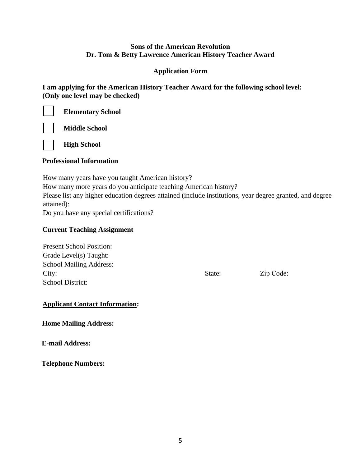## **Sons of the American Revolution Dr. Tom & Betty Lawrence American History Teacher Award**

## **Application Form**

**I am applying for the American History Teacher Award for the following school level: (Only one level may be checked)**



**Elementary School**

**Middle School**

## **Professional Information**

**High School** 

How many years have you taught American history? How many more years do you anticipate teaching American history? Please list any higher education degrees attained (include institutions, year degree granted, and degree attained): Do you have any special certifications?

**Current Teaching Assignment** 

Present School Position: Grade Level(s) Taught: School Mailing Address: City:  $\qquad \qquad$  State:  $\qquad \qquad$  Zip Code: School District:

# **Applicant Contact Information:**

**Home Mailing Address:**

**E-mail Address:** 

**Telephone Numbers:**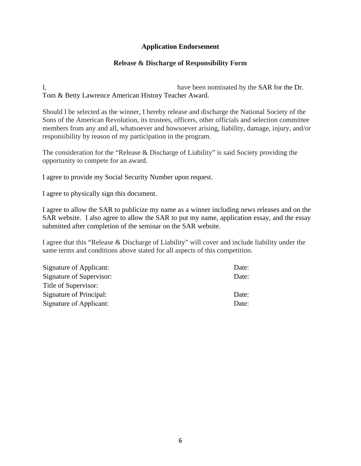## **Application Endorsement**

### **Release & Discharge of Responsibility Form**

I, have been nominated by the SAR for the Dr. Tom & Betty Lawrence American History Teacher Award.

Should I be selected as the winner, I hereby release and discharge the National Society of the Sons of the American Revolution, its trustees, officers, other officials and selection committee members from any and all, whatsoever and howsoever arising, liability, damage, injury, and/or responsibility by reason of my participation in the program.

The consideration for the "Release & Discharge of Liability" is said Society providing the opportunity to compete for an award.

I agree to provide my Social Security Number upon request.

I agree to physically sign this document.

I agree to allow the SAR to publicize my name as a winner including news releases and on the SAR website. I also agree to allow the SAR to put my name, application essay, and the essay submitted after completion of the seminar on the SAR website.

I agree that this "Release & Discharge of Liability" will cover and include liability under the same terms and conditions above stated for all aspects of this competition.

| Signature of Applicant:  | Date: |
|--------------------------|-------|
| Signature of Supervisor: | Date: |
| Title of Supervisor:     |       |
| Signature of Principal:  | Date: |
| Signature of Applicant:  | Date: |